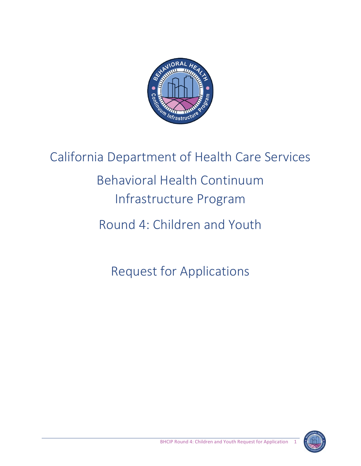

# California Department of Health Care Services

# Behavioral Health Continuum

# Infrastructure Program

# Round 4: Children and Youth

# Request for Applications

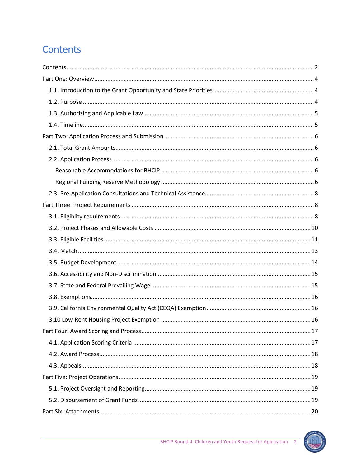## <span id="page-1-0"></span>Contents

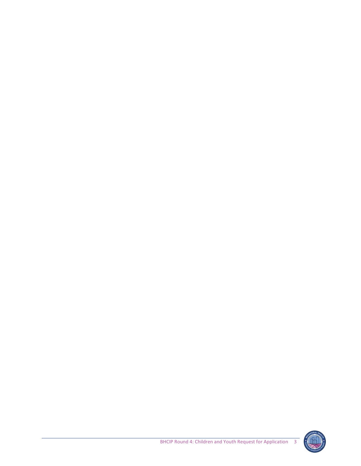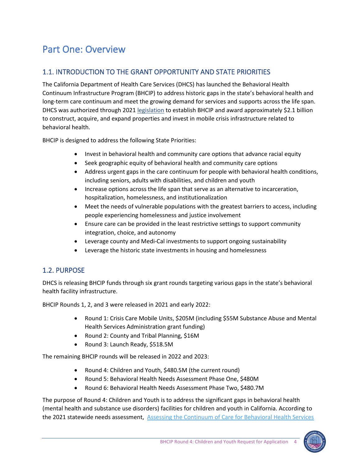## <span id="page-3-0"></span>Part One: Overview

#### <span id="page-3-1"></span>1.1. INTRODUCTION TO THE GRANT OPPORTUNITY AND STATE PRIORITIES

The California Department of Health Care Services (DHCS) has launched the Behavioral Health Continuum Infrastructure Program (BHCIP) to address historic gaps in the state's behavioral health and long-term care continuum and meet the growing demand for services and supports across the life span. DHCS was authorized through 2021 [legislation](https://leginfo.legislature.ca.gov/faces/codes_displayText.xhtml?lawCode=WIC&division=5.&title=&part=7.&chapter=1.&article=) to establish BHCIP and award approximately \$2.1 billion to construct, acquire, and expand properties and invest in mobile crisis infrastructure related to behavioral health.

BHCIP is designed to address the following State Priorities:

- Invest in behavioral health and community care options that advance racial equity
- Seek geographic equity of behavioral health and community care options
- Address urgent gaps in the care continuum for people with behavioral health conditions, including seniors, adults with disabilities, and children and youth
- Increase options across the life span that serve as an alternative to incarceration, hospitalization, homelessness, and institutionalization
- Meet the needs of vulnerable populations with the greatest barriers to access, including people experiencing homelessness and justice involvement
- Ensure care can be provided in the least restrictive settings to support community integration, choice, and autonomy
- Leverage county and Medi-Cal investments to support ongoing sustainability
- Leverage the historic state investments in housing and homelessness

#### <span id="page-3-2"></span>1.2. PURPOSE

DHCS is releasing BHCIP funds through six grant rounds targeting various gaps in the state's behavioral health facility infrastructure.

BHCIP Rounds 1, 2, and 3 were released in 2021 and early 2022:

- Round 1: Crisis Care Mobile Units, \$205M (including \$55M Substance Abuse and Mental Health Services Administration grant funding)
- Round 2: County and Tribal Planning, \$16M
- Round 3: Launch Ready, \$518.5M

The remaining BHCIP rounds will be released in 2022 and 2023:

- Round 4: Children and Youth, \$480.5M (the current round)
- Round 5: Behavioral Health Needs Assessment Phase One, \$480M
- Round 6: Behavioral Health Needs Assessment Phase Two, \$480.7M

The purpose of Round 4: Children and Youth is to address the significant gaps in behavioral health (mental health and substance use disorders) facilities for children and youth in California. According to the 2021 statewide needs assessment, Assessing the Continuum of Care for Behavioral Health Services

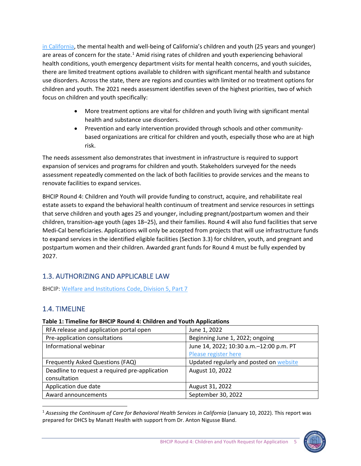[in California,](https://www.dhcs.ca.gov/Documents/Assessing-the-Continuum-of-Care-for-BH-Services-in-California.pdf) the mental health and well-being of California's children and youth (25 years and younger) are areas of concern for the state.<sup>[1](#page-4-2)</sup> Amid rising rates of children and youth experiencing behavioral health conditions, youth emergency department visits for mental health concerns, and youth suicides, there are limited treatment options available to children with significant mental health and substance use disorders. Across the state, there are regions and counties with limited or no treatment options for children and youth. The 2021 needs assessment identifies seven of the highest priorities, two of which focus on children and youth specifically:

- More treatment options are vital for children and youth living with significant mental health and substance use disorders.
- Prevention and early intervention provided through schools and other communitybased organizations are critical for children and youth, especially those who are at high risk.

The needs assessment also demonstrates that investment in infrastructure is required to support expansion of services and programs for children and youth. Stakeholders surveyed for the needs assessment repeatedly commented on the lack of both facilities to provide services and the means to renovate facilities to expand services.

BHCIP Round 4: Children and Youth will provide funding to construct, acquire, and rehabilitate real estate assets to expand the behavioral health continuum of treatment and service resources in settings that serve children and youth ages 25 and younger, including pregnant/postpartum women and their children, transition-age youth (ages 18–25), and their families. Round 4 will also fund facilities that serve Medi-Cal beneficiaries. Applications will only be accepted from projects that will use infrastructure funds to expand services in the identified eligible facilities (Section 3.3) for children, youth, and pregnant and postpartum women and their children. Awarded grant funds for Round 4 must be fully expended by 2027.

### <span id="page-4-0"></span>1.3. AUTHORIZING AND APPLICABLE LAW

BHCIP: [Welfare and Institutions Code, Division 5, Part 7](https://leginfo.legislature.ca.gov/faces/codes_displayText.xhtml?lawCode=WIC&division=5.&title=&part=7.&chapter=1.&article=)

#### <span id="page-4-1"></span>1.4. TIMELINE

#### **Table 1: Timeline for BHCIP Round 4: Children and Youth Applications**

| RFA release and application portal open        | June 1, 2022                            |  |
|------------------------------------------------|-----------------------------------------|--|
| Pre-application consultations                  | Beginning June 1, 2022; ongoing         |  |
| Informational webinar                          | June 14, 2022; 10:30 a.m.-12:00 p.m. PT |  |
|                                                | Please register here                    |  |
| Frequently Asked Questions (FAQ)               | Updated regularly and posted on website |  |
| Deadline to request a required pre-application | August 10, 2022                         |  |
| consultation                                   |                                         |  |
| Application due date                           | August 31, 2022                         |  |
| Award announcements                            | September 30, 2022                      |  |

<span id="page-4-2"></span><sup>1</sup> Assessing the Continuum of Care for Behavioral Health Services in California (January 10, 2022). This report was prepared for DHCS by Manatt Health with support from Dr. Anton Nigusse Bland.

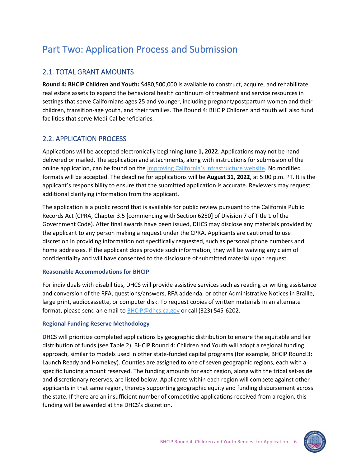## <span id="page-5-0"></span>Part Two: Application Process and Submission

#### <span id="page-5-1"></span>2.1. TOTAL GRANT AMOUNTS

**Round 4: BHCIP Children and Youth:** \$480,500,000 is available to construct, acquire, and rehabilitate real estate assets to expand the behavioral health continuum of treatment and service resources in settings that serve Californians ages 25 and younger, including pregnant/postpartum women and their children, transition-age youth, and their families. The Round 4: BHCIP Children and Youth will also fund facilities that serve Medi-Cal beneficiaries.

#### <span id="page-5-2"></span>2.2. APPLICATION PROCESS

Applications will be accepted electronically beginning **June 1, 2022**. Applications may not be hand delivered or mailed. The application and attachments, along with instructions for submission of the online application, can be found on th[e Improving California's Infrastructure website.](https://www.infrastructure.buildingcalhhs.com/grantees/cy/) No modified formats will be accepted. The deadline for applications will be **August 31, 2022**, at 5:00 p.m. PT. It is the applicant's responsibility to ensure that the submitted application is accurate. Reviewers may request additional clarifying information from the applicant.

The application is a public record that is available for public review pursuant to the California Public Records Act (CPRA, Chapter 3.5 [commencing with Section 6250] of Division 7 of Title 1 of the Government Code). After final awards have been issued, DHCS may disclose any materials provided by the applicant to any person making a request under the CPRA. Applicants are cautioned to use discretion in providing information not specifically requested, such as personal phone numbers and home addresses. If the applicant does provide such information, they will be waiving any claim of confidentiality and will have consented to the disclosure of submitted material upon request.

#### <span id="page-5-3"></span>**Reasonable Accommodations for BHCIP**

For individuals with disabilities, DHCS will provide assistive services such as reading or writing assistance and conversion of the RFA, questions/answers, RFA addenda, or other Administrative Notices in Braille, large print, audiocassette, or computer disk. To request copies of written materials in an alternate format, please send an email t[o BHCIP@dhcs.ca.gov](mailto:BHCIP@dhcs.ca.gov) or call (323) 545-6202.

#### <span id="page-5-4"></span>**Regional Funding Reserve Methodology**

DHCS will prioritize completed applications by geographic distribution to ensure the equitable and fair distribution of funds (see Table 2). BHCIP Round 4: Children and Youth will adopt a regional funding approach, similar to models used in other state-funded capital programs (for example, BHCIP Round 3: Launch Ready and Homekey). Counties are assigned to one of seven geographic regions, each with a specific funding amount reserved. The funding amounts for each region, along with the tribal set-aside and discretionary reserves, are listed below. Applicants within each region will compete against other applicants in that same region, thereby supporting geographic equity and funding disbursement across the state. If there are an insufficient number of competitive applications received from a region, this funding will be awarded at the DHCS's discretion.

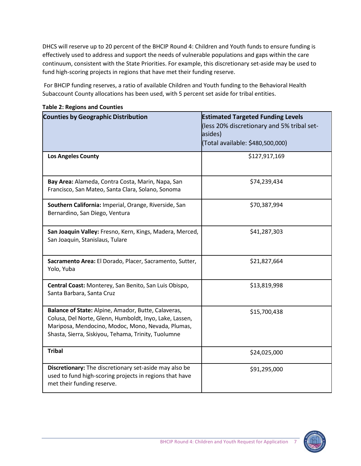DHCS will reserve up to 20 percent of the BHCIP Round 4: Children and Youth funds to ensure funding is effectively used to address and support the needs of vulnerable populations and gaps within the care continuum, consistent with the State Priorities. For example, this discretionary set-aside may be used to fund high-scoring projects in regions that have met their funding reserve.

For BHCIP funding reserves, a ratio of available Children and Youth funding to the Behavioral Health Subaccount County allocations has been used, with 5 percent set aside for tribal entities.

| <b>Counties by Geographic Distribution</b>                                                                                                                                                                                 | <b>Estimated Targeted Funding Levels</b><br>(less 20% discretionary and 5% tribal set-<br>asides)<br>(Total available: \$480,500,000) |
|----------------------------------------------------------------------------------------------------------------------------------------------------------------------------------------------------------------------------|---------------------------------------------------------------------------------------------------------------------------------------|
| <b>Los Angeles County</b>                                                                                                                                                                                                  | \$127,917,169                                                                                                                         |
| Bay Area: Alameda, Contra Costa, Marin, Napa, San<br>Francisco, San Mateo, Santa Clara, Solano, Sonoma                                                                                                                     | \$74,239,434                                                                                                                          |
| Southern California: Imperial, Orange, Riverside, San<br>Bernardino, San Diego, Ventura                                                                                                                                    | \$70,387,994                                                                                                                          |
| San Joaquin Valley: Fresno, Kern, Kings, Madera, Merced,<br>San Joaquin, Stanislaus, Tulare                                                                                                                                | \$41,287,303                                                                                                                          |
| Sacramento Area: El Dorado, Placer, Sacramento, Sutter,<br>Yolo, Yuba                                                                                                                                                      | \$21,827,664                                                                                                                          |
| Central Coast: Monterey, San Benito, San Luis Obispo,<br>Santa Barbara, Santa Cruz                                                                                                                                         | \$13,819,998                                                                                                                          |
| Balance of State: Alpine, Amador, Butte, Calaveras,<br>Colusa, Del Norte, Glenn, Humboldt, Inyo, Lake, Lassen,<br>Mariposa, Mendocino, Modoc, Mono, Nevada, Plumas,<br>Shasta, Sierra, Siskiyou, Tehama, Trinity, Tuolumne | \$15,700,438                                                                                                                          |
| <b>Tribal</b>                                                                                                                                                                                                              | \$24,025,000                                                                                                                          |
| Discretionary: The discretionary set-aside may also be<br>used to fund high-scoring projects in regions that have<br>met their funding reserve.                                                                            | \$91,295,000                                                                                                                          |

#### **Table 2: Regions and Counties**

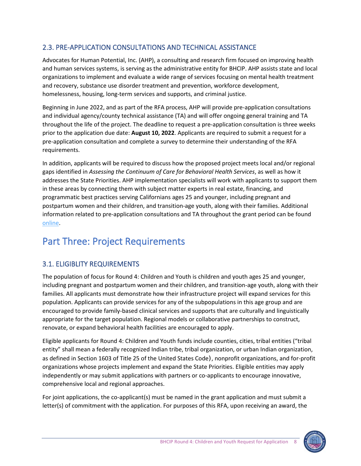#### <span id="page-7-0"></span>2.3. PRE-APPLICATION CONSULTATIONS AND TECHNICAL ASSISTANCE

Advocates for Human Potential, Inc. (AHP), a consulting and research firm focused on improving health and human services systems, is serving as the administrative entity for BHCIP. AHP assists state and local organizations to implement and evaluate a wide range of services focusing on mental health treatment and recovery, substance use disorder treatment and prevention, workforce development, homelessness, housing, long-term services and supports, and criminal justice.

Beginning in June 2022, and as part of the RFA process, AHP will provide pre-application consultations and individual agency/county technical assistance (TA) and will offer ongoing general training and TA throughout the life of the project. The deadline to request a pre-application consultation is three weeks prior to the application due date: **August 10, 2022**. Applicants are required to submit a request for a pre-application consultation and complete a survey to determine their understanding of the RFA requirements.

In addition, applicants will be required to discuss how the proposed project meets local and/or regional gaps identified in *Assessing the Continuum of Care for Behavioral Health Services*, as well as how it addresses the State Priorities. AHP implementation specialists will work with applicants to support them in these areas by connecting them with subject matter experts in real estate, financing, and programmatic best practices serving Californians ages 25 and younger, including pregnant and postpartum women and their children, and transition-age youth, along with their families. Additional information related to pre-application consultations and TA throughout the grant period can be found [online.](https://www.infrastructure.buildingcalhhs.com/training-and-technical-assistance/)

## <span id="page-7-1"></span>Part Three: Project Requirements

#### <span id="page-7-2"></span>3.1. ELIGIBLITY REQUIREMENTS

The population of focus for Round 4: Children and Youth is children and youth ages 25 and younger, including pregnant and postpartum women and their children, and transition-age youth, along with their families. All applicants must demonstrate how their infrastructure project will expand services for this population. Applicants can provide services for any of the subpopulations in this age group and are encouraged to provide family-based clinical services and supports that are culturally and linguistically appropriate for the target population. Regional models or collaborative partnerships to construct, renovate, or expand behavioral health facilities are encouraged to apply.

Eligible applicants for Round 4: Children and Youth funds include counties, cities, tribal entities ("tribal entity" shall mean a federally recognized Indian tribe, tribal organization, or urban Indian organization, as defined in Section 1603 of Title 25 of the United States Code), nonprofit organizations, and for-profit organizations whose projects implement and expand the State Priorities. Eligible entities may apply independently or may submit applications with partners or co-applicants to encourage innovative, comprehensive local and regional approaches.

For joint applications, the co-applicant(s) must be named in the grant application and must submit a letter(s) of commitment with the application. For purposes of this RFA, upon receiving an award, the

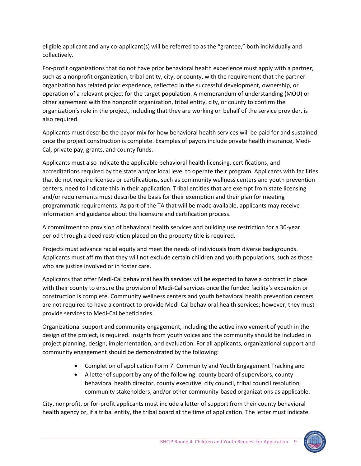eligible applicant and any co-applicant(s) will be referred to as the "grantee," both individually and collectively.

For-profit organizations that do not have prior behavioral health experience must apply with a partner, such as a nonprofit organization, tribal entity, city, or county, with the requirement that the partner organization has related prior experience, reflected in the successful development, ownership, or operation of a relevant project for the target population. A memorandum of understanding (MOU) or other agreement with the nonprofit organization, tribal entity, city, or county to confirm the organization's role in the project, including that they are working on behalf of the service provider, is also required.

Applicants must describe the payor mix for how behavioral health services will be paid for and sustained once the project construction is complete. Examples of payors include private health insurance, Medi-Cal, private pay, grants, and county funds.

Applicants must also indicate the applicable behavioral health licensing, certifications, and accreditations required by the state and/or local level to operate their program. Applicants with facilities that do not require licenses or certifications, such as community wellness centers and youth prevention centers, need to indicate this in their application. Tribal entities that are exempt from state licensing and/or requirements must describe the basis for their exemption and their plan for meeting programmatic requirements. As part of the TA that will be made available, applicants may receive information and guidance about the licensure and certification process.

A commitment to provision of behavioral health services and building use restriction for a 30-year period through a deed restriction placed on the property title is required.

Projects must advance racial equity and meet the needs of individuals from diverse backgrounds. Applicants must affirm that they will not exclude certain children and youth populations, such as those who are justice involved or in foster care.

Applicants that offer Medi-Cal behavioral health services will be expected to have a contract in place with their county to ensure the provision of Medi-Cal services once the funded facility's expansion or construction is complete. Community wellness centers and youth behavioral health prevention centers are not required to have a contract to provide Medi-Cal behavioral health services; however, they must provide services to Medi-Cal beneficiaries.

Organizational support and community engagement, including the active involvement of youth in the design of the project, is required. Insights from youth voices and the community should be included in project planning, design, implementation, and evaluation. For all applicants, organizational support and community engagement should be demonstrated by the following:

- Completion of application Form 7: Community and Youth Engagement Tracking and
- A letter of support by any of the following: county board of supervisors, county behavioral health director, county executive, city council, tribal council resolution, community stakeholders, and/or other community-based organizations as applicable.

City, nonprofit, or for-profit applicants must include a letter of support from their county behavioral health agency or, if a tribal entity, the tribal board at the time of application. The letter must indicate

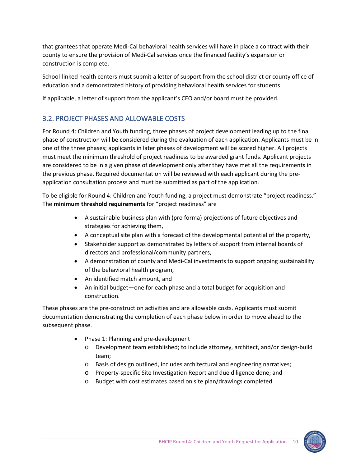that grantees that operate Medi-Cal behavioral health services will have in place a contract with their county to ensure the provision of Medi-Cal services once the financed facility's expansion or construction is complete.

School-linked health centers must submit a letter of support from the school district or county office of education and a demonstrated history of providing behavioral health services for students.

If applicable, a letter of support from the applicant's CEO and/or board must be provided.

#### <span id="page-9-0"></span>3.2. PROJECT PHASES AND ALLOWABLE COSTS

For Round 4: Children and Youth funding, three phases of project development leading up to the final phase of construction will be considered during the evaluation of each application. Applicants must be in one of the three phases; applicants in later phases of development will be scored higher. All projects must meet the minimum threshold of project readiness to be awarded grant funds. Applicant projects are considered to be in a given phase of development only after they have met all the requirements in the previous phase. Required documentation will be reviewed with each applicant during the preapplication consultation process and must be submitted as part of the application.

To be eligible for Round 4: Children and Youth funding, a project must demonstrate "project readiness." The **minimum threshold requirements** for "project readiness" are

- A sustainable business plan with (pro forma) projections of future objectives and strategies for achieving them,
- A conceptual site plan with a forecast of the developmental potential of the property,
- Stakeholder support as demonstrated by letters of support from internal boards of directors and professional/community partners,
- A demonstration of county and Medi-Cal investments to support ongoing sustainability of the behavioral health program,
- An identified match amount, and
- An initial budget—one for each phase and a total budget for acquisition and construction.

These phases are the pre-construction activities and are allowable costs. Applicants must submit documentation demonstrating the completion of each phase below in order to move ahead to the subsequent phase.

- Phase 1: Planning and pre-development
	- o Development team established; to include attorney, architect, and/or design-build team;
	- o Basis of design outlined, includes architectural and engineering narratives;
	- o Property-specific Site Investigation Report and due diligence done; and
	- o Budget with cost estimates based on site plan/drawings completed.

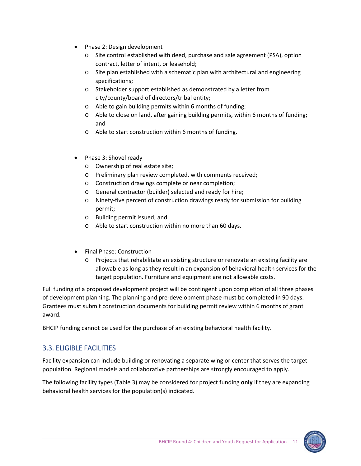- Phase 2: Design development
	- o Site control established with deed, purchase and sale agreement (PSA), option contract, letter of intent, or leasehold;
	- o Site plan established with a schematic plan with architectural and engineering specifications;
	- o Stakeholder support established as demonstrated by a letter from city/county/board of directors/tribal entity;
	- o Able to gain building permits within 6 months of funding;
	- o Able to close on land, after gaining building permits, within 6 months of funding; and
	- o Able to start construction within 6 months of funding.
- Phase 3: Shovel ready
	- o Ownership of real estate site;
	- o Preliminary plan review completed, with comments received;
	- o Construction drawings complete or near completion;
	- o General contractor (builder) selected and ready for hire;
	- o Ninety-five percent of construction drawings ready for submission for building permit;
	- o Building permit issued; and
	- o Able to start construction within no more than 60 days.
- Final Phase: Construction
	- o Projects that rehabilitate an existing structure or renovate an existing facility are allowable as long as they result in an expansion of behavioral health services for the target population. Furniture and equipment are not allowable costs.

Full funding of a proposed development project will be contingent upon completion of all three phases of development planning. The planning and pre-development phase must be completed in 90 days. Grantees must submit construction documents for building permit review within 6 months of grant award.

BHCIP funding cannot be used for the purchase of an existing behavioral health facility.

#### <span id="page-10-0"></span>3.3. ELIGIBLE FACILITIES

Facility expansion can include building or renovating a separate wing or center that serves the target population. Regional models and collaborative partnerships are strongly encouraged to apply.

The following facility types (Table 3) may be considered for project funding **only** if they are expanding behavioral health services for the population(s) indicated.

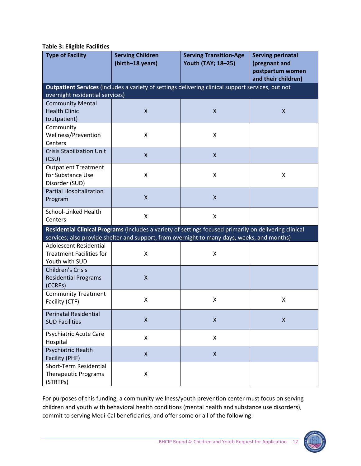|  |  |  | <b>Table 3: Eligible Facilities</b> |
|--|--|--|-------------------------------------|
|--|--|--|-------------------------------------|

| <b>Type of Facility</b>                                                                           | <b>Serving Children</b><br>(birth-18 years)                                                            | <b>Serving Transition-Age</b><br>Youth (TAY; 18-25) | <b>Serving perinatal</b><br>(pregnant and<br>postpartum women<br>and their children) |  |  |  |
|---------------------------------------------------------------------------------------------------|--------------------------------------------------------------------------------------------------------|-----------------------------------------------------|--------------------------------------------------------------------------------------|--|--|--|
| Outpatient Services (includes a variety of settings delivering clinical support services, but not |                                                                                                        |                                                     |                                                                                      |  |  |  |
| overnight residential services)                                                                   |                                                                                                        |                                                     |                                                                                      |  |  |  |
| <b>Community Mental</b>                                                                           |                                                                                                        |                                                     |                                                                                      |  |  |  |
| <b>Health Clinic</b>                                                                              | X                                                                                                      | $\boldsymbol{\mathsf{X}}$                           | X                                                                                    |  |  |  |
| (outpatient)                                                                                      |                                                                                                        |                                                     |                                                                                      |  |  |  |
| Community                                                                                         |                                                                                                        |                                                     |                                                                                      |  |  |  |
| Wellness/Prevention                                                                               | Χ                                                                                                      | X                                                   |                                                                                      |  |  |  |
| Centers                                                                                           |                                                                                                        |                                                     |                                                                                      |  |  |  |
| <b>Crisis Stabilization Unit</b>                                                                  | X                                                                                                      | $\pmb{\times}$                                      |                                                                                      |  |  |  |
| (CSU)                                                                                             |                                                                                                        |                                                     |                                                                                      |  |  |  |
| <b>Outpatient Treatment</b>                                                                       |                                                                                                        |                                                     |                                                                                      |  |  |  |
| for Substance Use                                                                                 | X                                                                                                      | X                                                   | X                                                                                    |  |  |  |
| Disorder (SUD)                                                                                    |                                                                                                        |                                                     |                                                                                      |  |  |  |
| <b>Partial Hospitalization</b>                                                                    |                                                                                                        |                                                     |                                                                                      |  |  |  |
| Program                                                                                           | X                                                                                                      | $\boldsymbol{\mathsf{X}}$                           |                                                                                      |  |  |  |
| School-Linked Health                                                                              |                                                                                                        |                                                     |                                                                                      |  |  |  |
| Centers                                                                                           | X                                                                                                      | X                                                   |                                                                                      |  |  |  |
|                                                                                                   |                                                                                                        |                                                     |                                                                                      |  |  |  |
|                                                                                                   | Residential Clinical Programs (includes a variety of settings focused primarily on delivering clinical |                                                     |                                                                                      |  |  |  |
|                                                                                                   | services; also provide shelter and support, from overnight to many days, weeks, and months)            |                                                     |                                                                                      |  |  |  |
| Adolescent Residential                                                                            |                                                                                                        |                                                     |                                                                                      |  |  |  |
| <b>Treatment Facilities for</b>                                                                   | X                                                                                                      | $\pmb{\times}$                                      |                                                                                      |  |  |  |
| Youth with SUD                                                                                    |                                                                                                        |                                                     |                                                                                      |  |  |  |
| <b>Children's Crisis</b>                                                                          |                                                                                                        |                                                     |                                                                                      |  |  |  |
| <b>Residential Programs</b>                                                                       | X                                                                                                      |                                                     |                                                                                      |  |  |  |
| (CCRPs)                                                                                           |                                                                                                        |                                                     |                                                                                      |  |  |  |
| <b>Community Treatment</b>                                                                        | Χ                                                                                                      | X                                                   | X                                                                                    |  |  |  |
| Facility (CTF)                                                                                    |                                                                                                        |                                                     |                                                                                      |  |  |  |
| <b>Perinatal Residential</b>                                                                      |                                                                                                        |                                                     |                                                                                      |  |  |  |
| <b>SUD Facilities</b>                                                                             | X                                                                                                      | $\pmb{\mathsf{X}}$                                  | $\pmb{\mathsf{X}}$                                                                   |  |  |  |
|                                                                                                   |                                                                                                        |                                                     |                                                                                      |  |  |  |
| Psychiatric Acute Care                                                                            | X                                                                                                      | X                                                   |                                                                                      |  |  |  |
| Hospital                                                                                          |                                                                                                        |                                                     |                                                                                      |  |  |  |
| Psychiatric Health                                                                                | X                                                                                                      | $\boldsymbol{\mathsf{X}}$                           |                                                                                      |  |  |  |
| Facility (PHF)                                                                                    |                                                                                                        |                                                     |                                                                                      |  |  |  |
| Short-Term Residential                                                                            |                                                                                                        |                                                     |                                                                                      |  |  |  |
| <b>Therapeutic Programs</b>                                                                       | Χ                                                                                                      |                                                     |                                                                                      |  |  |  |
| (STRTPs)                                                                                          |                                                                                                        |                                                     |                                                                                      |  |  |  |

For purposes of this funding, a community wellness/youth prevention center must focus on serving children and youth with behavioral health conditions (mental health and substance use disorders), commit to serving Medi-Cal beneficiaries, and offer some or all of the following:

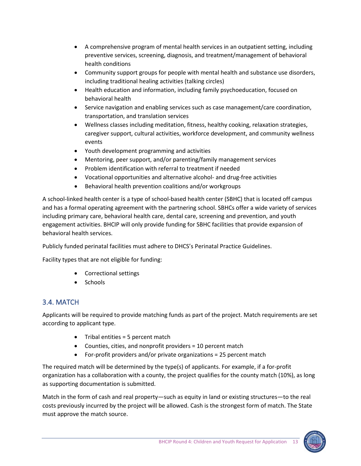- A comprehensive program of mental health services in an outpatient setting, including preventive services, screening, diagnosis, and treatment/management of behavioral health conditions
- Community support groups for people with mental health and substance use disorders, including traditional healing activities (talking circles)
- Health education and information, including family psychoeducation, focused on behavioral health
- Service navigation and enabling services such as case management/care coordination, transportation, and translation services
- Wellness classes including meditation, fitness, healthy cooking, relaxation strategies, caregiver support, cultural activities, workforce development, and community wellness events
- Youth development programming and activities
- Mentoring, peer support, and/or parenting/family management services
- Problem identification with referral to treatment if needed
- Vocational opportunities and alternative alcohol- and drug-free activities
- Behavioral health prevention coalitions and/or workgroups

A school-linked health center is a type of school-based health center (SBHC) that is located off campus and has a formal operating agreement with the partnering school. SBHCs offer a wide variety of services including primary care, behavioral health care, dental care, screening and prevention, and youth engagement activities. BHCIP will only provide funding for SBHC facilities that provide expansion of behavioral health services.

Publicly funded perinatal facilities must adhere to DHCS's Perinatal Practice Guidelines.

Facility types that are not eligible for funding:

- Correctional settings
- Schools

### <span id="page-12-0"></span>3.4. MATCH

Applicants will be required to provide matching funds as part of the project. Match requirements are set according to applicant type.

- Tribal entities = 5 percent match
- Counties, cities, and nonprofit providers = 10 percent match
- For-profit providers and/or private organizations = 25 percent match

The required match will be determined by the type(s) of applicants. For example, if a for-profit organization has a collaboration with a county, the project qualifies for the county match (10%), as long as supporting documentation is submitted.

Match in the form of cash and real property—such as equity in land or existing structures—to the real costs previously incurred by the project will be allowed. Cash is the strongest form of match. The State must approve the match source.

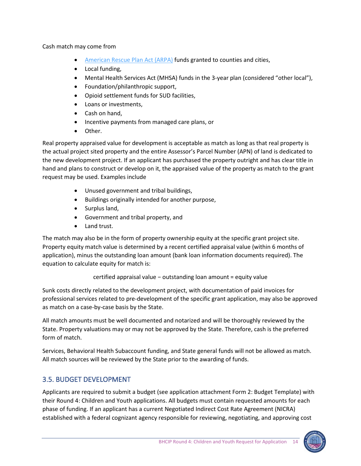Cash match may come from

- [American Rescue Plan Act \(ARPA\)](https://www.congress.gov/bill/117th-congress/house-bill/1319/text) funds granted to counties and cities,
- Local funding,
- [Mental Health Services Act \(MHSA\)](https://www.dhcs.ca.gov/services/MH/Pages/MH_Prop63.aspx) funds in the 3-year plan (considered "other local"),
- Foundation/philanthropic support,
- [Opioid settlement funds](https://oag.ca.gov/opioids) for SUD facilities,
- Loans or investments,
- Cash on hand,
- Incentive payments from managed care plans, or
- Other.

Real property appraised value for development is acceptable as match as long as that real property is the actual project sited property and the entire Assessor's Parcel Number (APN) of land is dedicated to the new development project. If an applicant has purchased the property outright and has clear title in hand and plans to construct or develop on it, the appraised value of the property as match to the grant request may be used. Examples include

- Unused government and tribal buildings,
- Buildings originally intended for another purpose,
- Surplus land,
- Government and tribal property, and
- Land trust.

The match may also be in the form of property ownership equity at the specific grant project site. Property equity match value is determined by a recent certified appraisal value (within 6 months of application), minus the outstanding loan amount (bank loan information documents required). The equation to calculate equity for match is:

certified appraisal value − outstanding loan amount = equity value

Sunk costs directly related to the development project, with documentation of paid invoices for professional services related to pre-development of the specific grant application, may also be approved as match on a case-by-case basis by the State.

All match amounts must be well documented and notarized and will be thoroughly reviewed by the State. Property valuations may or may not be approved by the State. Therefore, cash is the preferred form of match.

Services, Behavioral Health Subaccount funding, and State general funds will not be allowed as match. All match sources will be reviewed by the State prior to the awarding of funds.

### <span id="page-13-0"></span>3.5. BUDGET DEVELOPMENT

Applicants are required to submit a budget (see application attachment Form 2: Budget Template) with their Round 4: Children and Youth applications. All budgets must contain requested amounts for each phase of funding. If an applicant has a current Negotiated Indirect Cost Rate Agreement (NICRA) established with a federal cognizant agency responsible for reviewing, negotiating, and approving cost

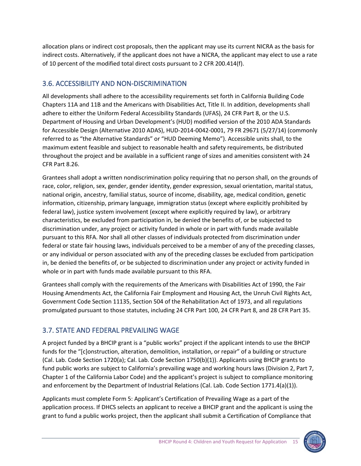allocation plans or indirect cost proposals, then the applicant may use its current NICRA as the basis for indirect costs. Alternatively, if the applicant does not have a NICRA, the applicant may elect to use a rate of 10 percent of the modified total direct costs pursuant to 2 CFR 200.414(f).

### <span id="page-14-0"></span>3.6. ACCESSIBILITY AND NON-DISCRIMINATION

All developments shall adhere to the accessibility requirements set forth in California Building Code Chapters 11A and 11B and the Americans with Disabilities Act, Title II. In addition, developments shall adhere to either the Uniform Federal Accessibility Standards (UFAS), 24 CFR Part 8, or the U.S. Department of Housing and Urban Development's (HUD) modified version of the 2010 ADA Standards for Accessible Design (Alternative 2010 ADAS), HUD-2014-0042-0001, 79 FR 29671 (5/27/14) (commonly referred to as "the Alternative Standards" or "HUD Deeming Memo"). Accessible units shall, to the maximum extent feasible and subject to reasonable health and safety requirements, be distributed throughout the project and be available in a sufficient range of sizes and amenities consistent with 24 CFR Part 8.26.

Grantees shall adopt a written nondiscrimination policy requiring that no person shall, on the grounds of race, color, religion, sex, gender, gender identity, gender expression, sexual orientation, marital status, national origin, ancestry, familial status, source of income, disability, age, medical condition, genetic information, citizenship, primary language, immigration status (except where explicitly prohibited by federal law), justice system involvement (except where explicitly required by law), or arbitrary characteristics, be excluded from participation in, be denied the benefits of, or be subjected to discrimination under, any project or activity funded in whole or in part with funds made available pursuant to this RFA. Nor shall all other classes of individuals protected from discrimination under federal or state fair housing laws, individuals perceived to be a member of any of the preceding classes, or any individual or person associated with any of the preceding classes be excluded from participation in, be denied the benefits of, or be subjected to discrimination under any project or activity funded in whole or in part with funds made available pursuant to this RFA.

Grantees shall comply with the requirements of the Americans with Disabilities Act of 1990, the Fair Housing Amendments Act, the California Fair Employment and Housing Act, the Unruh Civil Rights Act, Government Code Section 11135, Section 504 of the Rehabilitation Act of 1973, and all regulations promulgated pursuant to those statutes, including 24 CFR Part 100, 24 CFR Part 8, and 28 CFR Part 35.

### <span id="page-14-1"></span>3.7. STATE AND FEDERAL PREVAILING WAGE

A project funded by a BHCIP grant is a "public works" project if the applicant intends to use the BHCIP funds for the "[c]onstruction, alteration, demolition, installation, or repair" of a building or structure (Cal. Lab. Code Section 1720(a); Cal. Lab. Code Section 1750(b)(1)). Applicants using BHCIP grants to fund public works are subject to California's prevailing wage and working hours laws (Division 2, Part 7, Chapter 1 of the California Labor Code) and the applicant's project is subject to compliance monitoring and enforcement by the Department of Industrial Relations (Cal. Lab. Code Section 1771.4(a)(1)).

Applicants must complete Form 5: Applicant's Certification of Prevailing Wage as a part of the application process. If DHCS selects an applicant to receive a BHCIP grant and the applicant is using the grant to fund a public works project, then the applicant shall submit a Certification of Compliance that

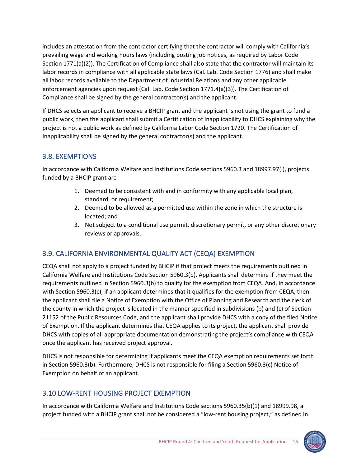includes an attestation from the contractor certifying that the contractor will comply with California's prevailing wage and working hours laws (including posting job notices, as required by Labor Code Section 1771(a)(2)). The Certification of Compliance shall also state that the contractor will maintain its labor records in compliance with all applicable state laws (Cal. Lab. Code Section 1776) and shall make all labor records available to the Department of Industrial Relations and any other applicable enforcement agencies upon request (Cal. Lab. Code Section 1771.4(a)(3)). The Certification of Compliance shall be signed by the general contractor(s) and the applicant.

If DHCS selects an applicant to receive a BHCIP grant and the applicant is not using the grant to fund a public work, then the applicant shall submit a Certification of Inapplicability to DHCS explaining why the project is not a public work as defined by California Labor Code Section 1720. The Certification of Inapplicability shall be signed by the general contractor(s) and the applicant.

#### <span id="page-15-0"></span>3.8. EXEMPTIONS

In accordance with California Welfare and Institutions Code sections 5960.3 and 18997.97(l), projects funded by a BHCIP grant are

- 1. Deemed to be consistent with and in conformity with any applicable local plan, standard, or requirement;
- 2. Deemed to be allowed as a permitted use within the zone in which the structure is located; and
- 3. Not subject to a conditional use permit, discretionary permit, or any other discretionary reviews or approvals.

### <span id="page-15-1"></span>3.9. CALIFORNIA ENVIRONMENTAL QUALITY ACT (CEQA) EXEMPTION

CEQA shall not apply to a project funded by BHCIP if that project meets the requirements outlined in California Welfare and Institutions Code Section 5960.3(b). Applicants shall determine if they meet the requirements outlined in Section 5960.3(b) to qualify for the exemption from CEQA. And, in accordance with Section 5960.3(c), if an applicant determines that it qualifies for the exemption from CEQA, then the applicant shall file a Notice of Exemption with the Office of Planning and Research and the clerk of the county in which the project is located in the manner specified in subdivisions (b) and (c) of Section 21152 of the Public Resources Code, and the applicant shall provide DHCS with a copy of the filed Notice of Exemption. If the applicant determines that CEQA applies to its project, the applicant shall provide DHCS with copies of all appropriate documentation demonstrating the project's compliance with CEQA once the applicant has received project approval.

DHCS is not responsible for determining if applicants meet the CEQA exemption requirements set forth in Section 5960.3(b). Furthermore, DHCS is not responsible for filing a Section 5960.3(c) Notice of Exemption on behalf of an applicant.

#### <span id="page-15-2"></span>3.10 LOW-RENT HOUSING PROJECT EXEMPTION

In accordance with California Welfare and Institutions Code sections 5960.35(b)(1) and 18999.98, a project funded with a BHCIP grant shall not be considered a "low-rent housing project," as defined in

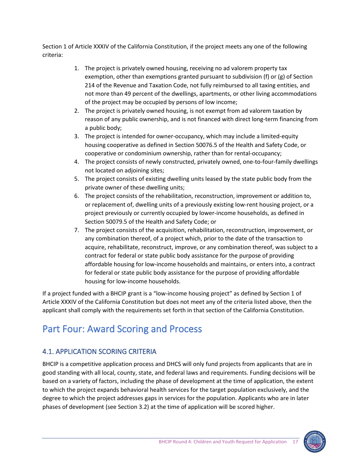Section 1 of Article XXXIV of the California Constitution, if the project meets any one of the following criteria:

- 1. The project is privately owned housing, receiving no ad valorem property tax exemption, other than exemptions granted pursuant to subdivision (f) or (g) of Section 214 of the Revenue and Taxation Code, not fully reimbursed to all taxing entities, and not more than 49 percent of the dwellings, apartments, or other living accommodations of the project may be occupied by persons of low income;
- 2. The project is privately owned housing, is not exempt from ad valorem taxation by reason of any public ownership, and is not financed with direct long-term financing from a public body;
- 3. The project is intended for owner-occupancy, which may include a limited-equity housing cooperative as defined in Section 50076.5 of the Health and Safety Code, or cooperative or condominium ownership, rather than for rental-occupancy;
- 4. The project consists of newly constructed, privately owned, one-to-four-family dwellings not located on adjoining sites;
- 5. The project consists of existing dwelling units leased by the state public body from the private owner of these dwelling units;
- 6. The project consists of the rehabilitation, reconstruction, improvement or addition to, or replacement of, dwelling units of a previously existing low-rent housing project, or a project previously or currently occupied by lower-income households, as defined in Section 50079.5 of the Health and Safety Code; or
- 7. The project consists of the acquisition, rehabilitation, reconstruction, improvement, or any combination thereof, of a project which, prior to the date of the transaction to acquire, rehabilitate, reconstruct, improve, or any combination thereof, was subject to a contract for federal or state public body assistance for the purpose of providing affordable housing for low-income households and maintains, or enters into, a contract for federal or state public body assistance for the purpose of providing affordable housing for low-income households.

If a project funded with a BHCIP grant is a "low-income housing project" as defined by Section 1 of Article XXXIV of the California Constitution but does not meet any of the criteria listed above, then the applicant shall comply with the requirements set forth in that section of the California Constitution.

## <span id="page-16-0"></span>Part Four: Award Scoring and Process

### <span id="page-16-1"></span>4.1. APPLICATION SCORING CRITERIA

BHCIP is a competitive application process and DHCS will only fund projects from applicants that are in good standing with all local, county, state, and federal laws and requirements. Funding decisions will be based on a variety of factors, including the phase of development at the time of application, the extent to which the project expands behavioral health services for the target population exclusively, and the degree to which the project addresses gaps in services for the population. Applicants who are in later phases of development (see Section 3.2) at the time of application will be scored higher.

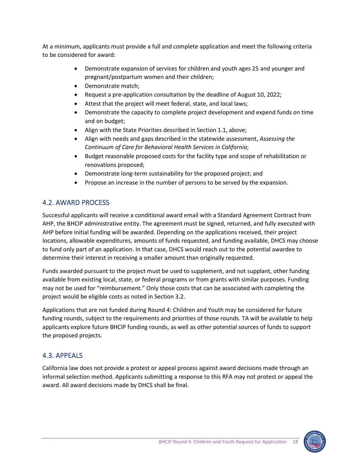At a minimum, applicants must provide a full and complete application and meet the following criteria to be considered for award:

- Demonstrate expansion of services for children and youth ages 25 and younger and pregnant/postpartum women and their children;
- Demonstrate match;
- Request a pre-application consultation by the deadline of August 10, 2022;
- Attest that the project will meet federal, state, and local laws;
- Demonstrate the capacity to complete project development and expend funds on time and on budget;
- Align with the State Priorities described in Section 1.1, above;
- Align with needs and gaps described in the statewide assessment, *Assessing the Continuum of Care for Behavioral Health Services in California*;
- Budget reasonable proposed costs for the facility type and scope of rehabilitation or renovations proposed;
- Demonstrate long-term sustainability for the proposed project; and
- Propose an increase in the number of persons to be served by the expansion.

### <span id="page-17-0"></span>4.2. AWARD PROCESS

Successful applicants will receive a conditional award email with a Standard Agreement Contract from AHP, the BHCIP administrative entity. The agreement must be signed, returned, and fully executed with AHP before initial funding will be awarded. Depending on the applications received, their project locations, allowable expenditures, amounts of funds requested, and funding available, DHCS may choose to fund only part of an application. In that case, DHCS would reach out to the potential awardee to determine their interest in receiving a smaller amount than originally requested.

Funds awarded pursuant to the project must be used to supplement, and not supplant, other funding available from existing local, state, or federal programs or from grants with similar purposes. Funding may not be used for "reimbursement." Only those costs that can be associated with completing the project would be eligible costs as noted in Section 3.2.

Applications that are not funded during Round 4: Children and Youth may be considered for future funding rounds, subject to the requirements and priorities of those rounds. TA will be available to help applicants explore future BHCIP funding rounds, as well as other potential sources of funds to support the proposed projects.

### <span id="page-17-1"></span>4.3. APPEALS

California law does not provide a protest or appeal process against award decisions made through an informal selection method. Applicants submitting a response to this RFA may not protest or appeal the award. All award decisions made by DHCS shall be final.

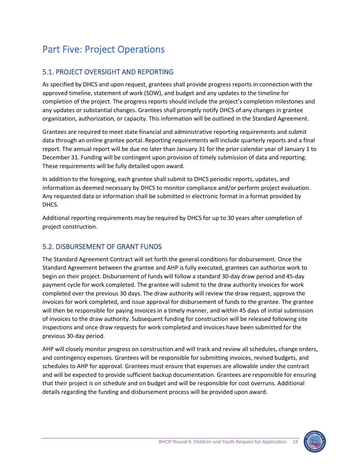## <span id="page-18-0"></span>Part Five: Project Operations

#### <span id="page-18-1"></span>5.1. PROJECT OVERSIGHT AND REPORTING

As specified by DHCS and upon request, grantees shall provide progress reports in connection with the approved timeline, statement of work (SOW), and budget and any updates to the timeline for completion of the project. The progress reports should include the project's completion milestones and any updates or substantial changes. Grantees shall promptly notify DHCS of any changes in grantee organization, authorization, or capacity. This information will be outlined in the Standard Agreement.

Grantees are required to meet state financial and administrative reporting requirements and submit data through an online grantee portal. Reporting requirements will include quarterly reports and a final report. The annual report will be due no later than January 31 for the prior calendar year of January 1 to December 31. Funding will be contingent upon provision of timely submission of data and reporting. These requirements will be fully detailed upon award.

In addition to the foregoing, each grantee shall submit to DHCS periodic reports, updates, and information as deemed necessary by DHCS to monitor compliance and/or perform project evaluation. Any requested data or information shall be submitted in electronic format in a format provided by DHCS.

Additional reporting requirements may be required by DHCS for up to 30 years after completion of project construction.

#### <span id="page-18-2"></span>5.2. DISBURSEMENT OF GRANT FUNDS

The Standard Agreement Contract will set forth the general conditions for disbursement. Once the Standard Agreement between the grantee and AHP is fully executed, grantees can authorize work to begin on their project. Disbursement of funds will follow a standard 30-day draw period and 45-day payment cycle for work completed. The grantee will submit to the draw authority invoices for work completed over the previous 30 days. The draw authority will review the draw request, approve the invoices for work completed, and issue approval for disbursement of funds to the grantee. The grantee will then be responsible for paying invoices in a timely manner, and within 45 days of initial submission of invoices to the draw authority. Subsequent funding for construction will be released following site inspections and once draw requests for work completed and invoices have been submitted for the previous 30-day period.

AHP will closely monitor progress on construction and will track and review all schedules, change orders, and contingency expenses. Grantees will be responsible for submitting invoices, revised budgets, and schedules to AHP for approval. Grantees must ensure that expenses are allowable under the contract and will be expected to provide sufficient backup documentation. Grantees are responsible for ensuring that their project is on schedule and on budget and will be responsible for cost overruns. Additional details regarding the funding and disbursement process will be provided upon award.

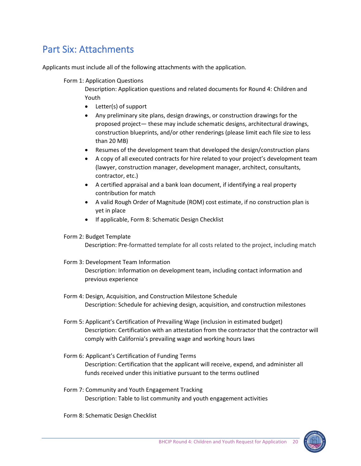## <span id="page-19-0"></span>Part Six: Attachments

Applicants must include all of the following attachments with the application.

Form 1: Application Questions

Description: Application questions and related documents for Round 4: Children and Youth

- Letter(s) of support
- Any preliminary site plans, design drawings, or construction drawings for the proposed project— these may include schematic designs, architectural drawings, construction blueprints, and/or other renderings (please limit each file size to less than 20 MB)
- Resumes of the development team that developed the design/construction plans
- A copy of all executed contracts for hire related to your project's development team (lawyer, construction manager, development manager, architect, consultants, contractor, etc.)
- A certified appraisal and a bank loan document, if identifying a real property contribution for match
- A valid Rough Order of Magnitude (ROM) cost estimate, if no construction plan is yet in place
- If applicable, Form 8: Schematic Design Checklist

#### Form 2: Budget Template

Description: Pre-formatted template for all costs related to the project, including match

- Form 3: Development Team Information Description: Information on development team, including contact information and previous experience
- Form 4: Design, Acquisition, and Construction Milestone Schedule Description: Schedule for achieving design, acquisition, and construction milestones
- Form 5: Applicant's Certification of Prevailing Wage (inclusion in estimated budget) Description: Certification with an attestation from the contractor that the contractor will comply with California's prevailing wage and working hours laws
- Form 6: Applicant's Certification of Funding Terms Description: Certification that the applicant will receive, expend, and administer all funds received under this initiative pursuant to the terms outlined
- Form 7: Community and Youth Engagement Tracking Description: Table to list community and youth engagement activities

Form 8: Schematic Design Checklist